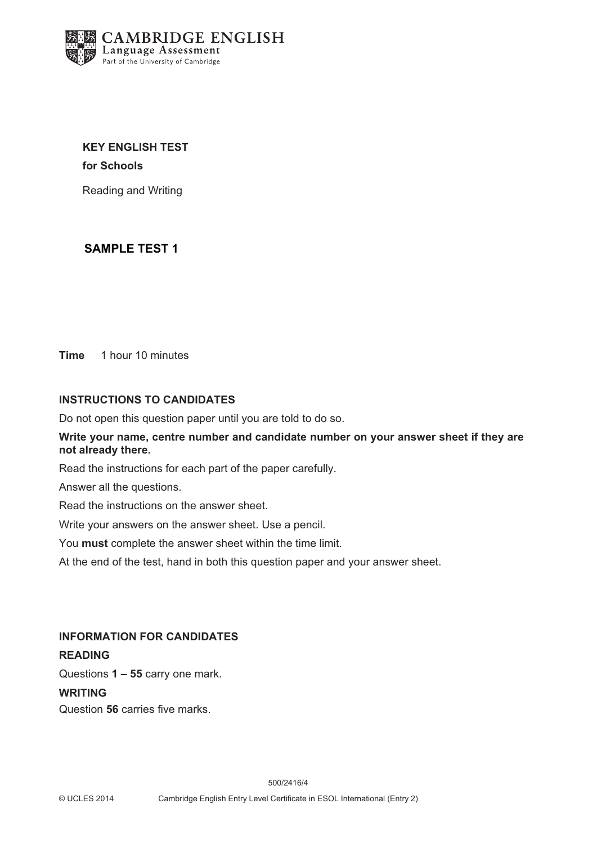

**KEY ENGLISH TEST for Schools**

Reading and Writing

## **SAMPLE TEST 1**

**Time** 1 hour 10 minutes

### **INSTRUCTIONS TO CANDIDATES**

Do not open this question paper until you are told to do so.

**Write your name, centre number and candidate number on your answer sheet if they are not already there.**

Read the instructions for each part of the paper carefully.

Answer all the questions.

Read the instructions on the answer sheet.

Write your answers on the answer sheet. Use a pencil.

You **must** complete the answer sheet within the time limit.

At the end of the test, hand in both this question paper and your answer sheet.

### **INFORMATION FOR CANDIDATES**

### **READING**

Questions **1 – 55** carry one mark.

### **WRITING**

Question **56** carries five marks.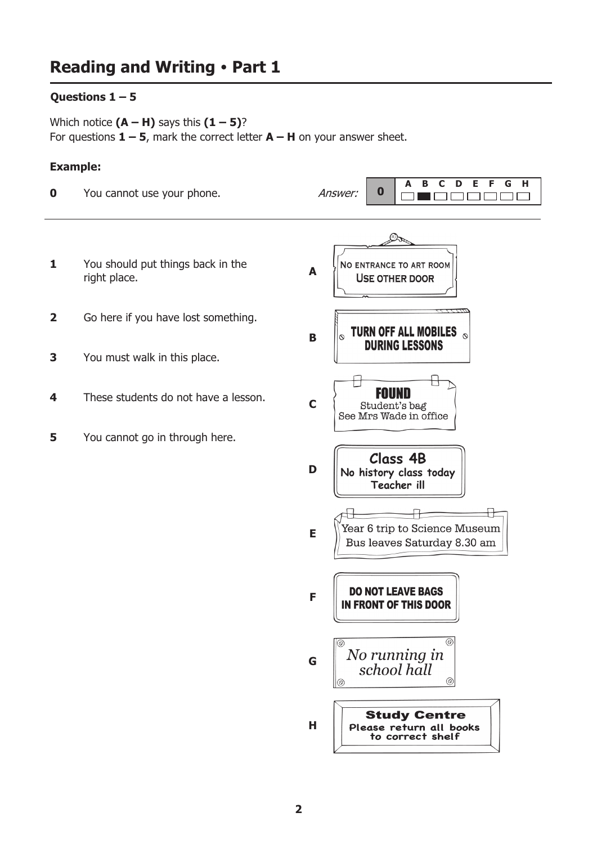## Questions  $1 - 5$

Which notice  $(A - H)$  says this  $(1 - 5)$ ? For questions  $1 - 5$ , mark the correct letter  $A - H$  on your answer sheet.

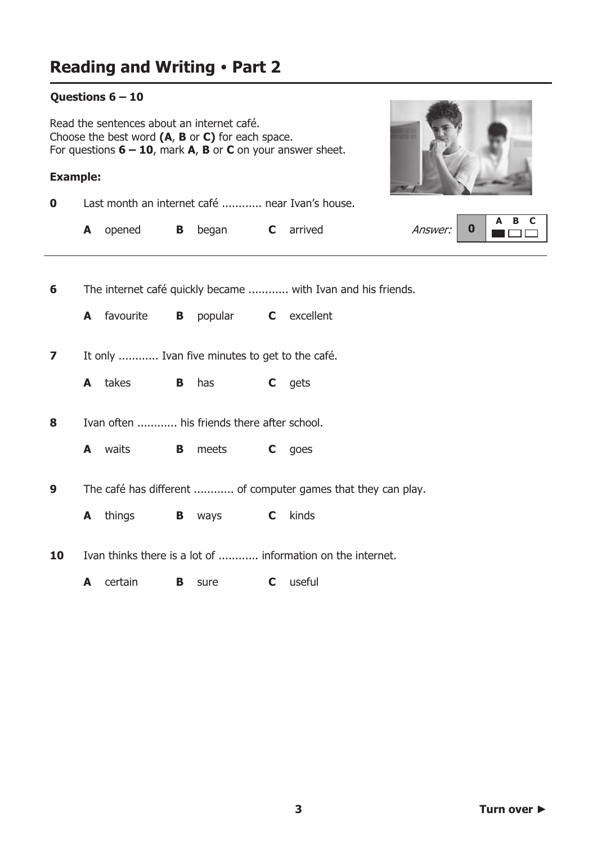### Questions  $6 - 10$

Read the sentences about an internet café. Choose the best word (A, B or C) for each space. For questions  $6 - 10$ , mark A, B or C on your answer sheet.

### **Example:**

Last month an internet café ............ near Ivan's house.  $\mathbf 0$ 



|  | <b>A</b> opened <b>B</b> began <b>C</b> arrived |  |  | Answer: $\begin{array}{ c c c c c c } \hline \textbf{A} & \textbf{B} & \textbf{C} & \textbf{A} & \textbf{B} & \textbf{C} \ \hline \textbf{B} & \textbf{C} & \textbf{D} & \textbf{D} & \textbf{D} & \textbf{D} \ \hline \end{array}$ |
|--|-------------------------------------------------|--|--|-------------------------------------------------------------------------------------------------------------------------------------------------------------------------------------------------------------------------------------|
|  |                                                 |  |  |                                                                                                                                                                                                                                     |

 $6\phantom{1}6$ The internet café quickly became ............ with Ivan and his friends.

A favourite **B** popular C excellent

 $\overline{\mathbf{z}}$ It only ............ Ivan five minutes to get to the café.

A takes  $\mathbf{B}$ has  $\mathbf{C}$ aets

Ivan often ............ his friends there after school. 8

**A** waits **B** meets C goes

The café has different ............ of computer games that they can play.  $\boldsymbol{9}$ 

**B** ways  $\mathbf{C}$ kinds **A** things

Ivan thinks there is a lot of ............ information on the internet. 10

C useful A certain **B** sure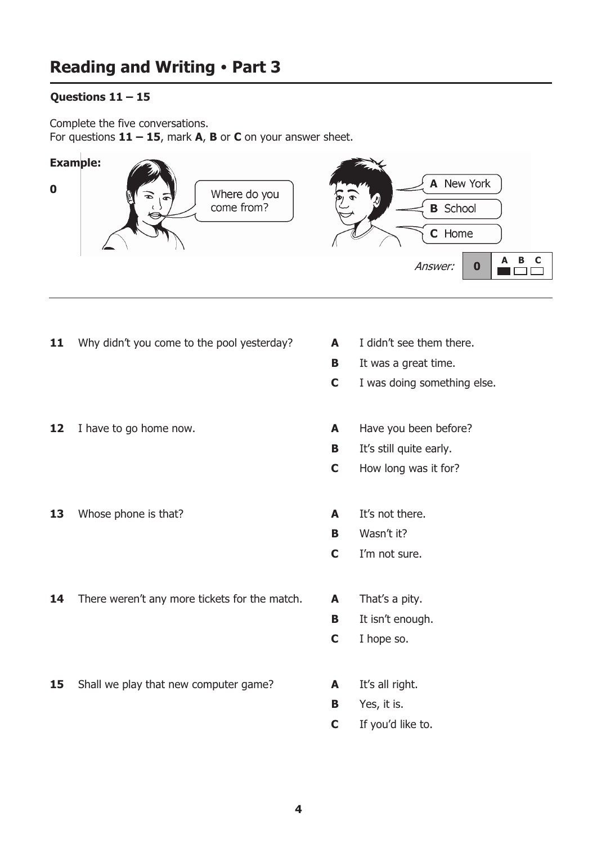## Questions  $11 - 15$

Complete the five conversations. For questions  $11 - 15$ , mark A, B or C on your answer sheet.



- Why didn't you come to the pool yesterday? 11
- $12<sub>2</sub>$ I have to go home now.
- Whose phone is that? 13
- There weren't any more tickets for the match. 14
- 15 Shall we play that new computer game?
- $\mathbf{A}$ I didn't see them there.
- $\mathbf{B}$ It was a great time.
- $\mathbf C$ I was doing something else.
- $\mathbf{A}$ Have you been before?
- $\mathbf{B}$ It's still quite early.
- $\mathbf C$ How long was it for?
- It's not there.  $\mathbf{A}$
- Wasn't it? **B**
- $\mathbf C$ I'm not sure.
- $\mathbf{A}$ That's a pity.
- $\mathbf{B}$ It isn't enough.
- $\mathbf C$ I hope so.
- $\blacktriangle$ It's all right.
- $\mathbf{B}$ Yes, it is.
- $\mathbf C$ If you'd like to.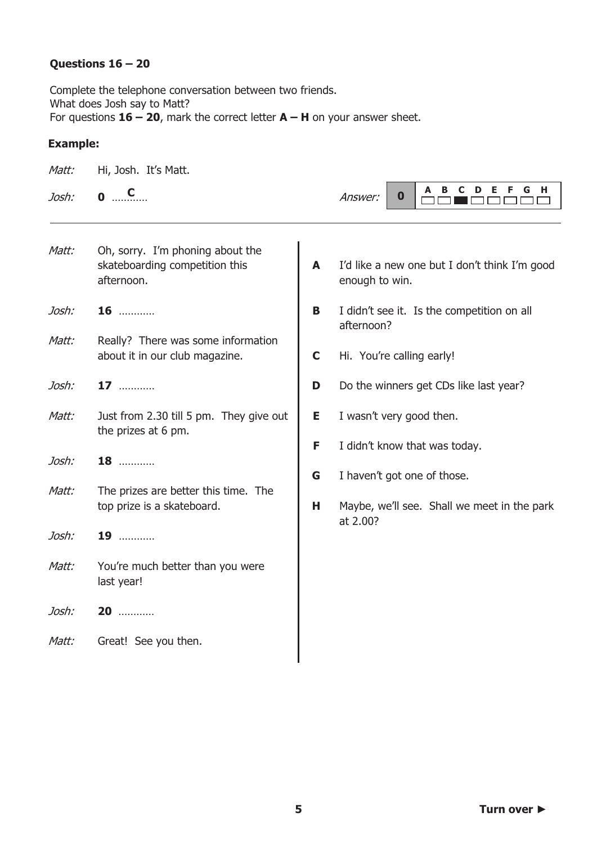## Questions  $16 - 20$

Complete the telephone conversation between two friends. What does Josh say to Matt? For questions  $16 - 20$ , mark the correct letter  $A - H$  on your answer sheet.

| Matt: | Hi, Josh. It's Matt.                                                             |        |                                                                 |
|-------|----------------------------------------------------------------------------------|--------|-----------------------------------------------------------------|
| Josh: | $\bullet$ $\quad \text{C}$                                                       |        | Е<br>F.<br>G<br>н<br>A<br>в<br>D<br>$\mathbf 0$<br>Answer:      |
| Matt: | Oh, sorry. I'm phoning about the<br>skateboarding competition this<br>afternoon. | A      | I'd like a new one but I don't think I'm good<br>enough to win. |
| Josh: | $16$                                                                             | B      | I didn't see it. Is the competition on all<br>afternoon?        |
| Matt: | Really? There was some information<br>about it in our club magazine.             | C      | Hi. You're calling early!                                       |
| Josh: | 17                                                                               | D      | Do the winners get CDs like last year?                          |
| Matt: | Just from 2.30 till 5 pm. They give out<br>the prizes at 6 pm.                   | Е      | I wasn't very good then.                                        |
| Josh: | 18                                                                               | F<br>G | I didn't know that was today.<br>I haven't got one of those.    |
| Matt: | The prizes are better this time. The<br>top prize is a skateboard.               | н      | Maybe, we'll see. Shall we meet in the park<br>at 2.00?         |
| Josh: | 19                                                                               |        |                                                                 |
| Matt: | You're much better than you were<br>last year!                                   |        |                                                                 |
| Josh: | 20                                                                               |        |                                                                 |
| Matt: | Great! See you then.                                                             |        |                                                                 |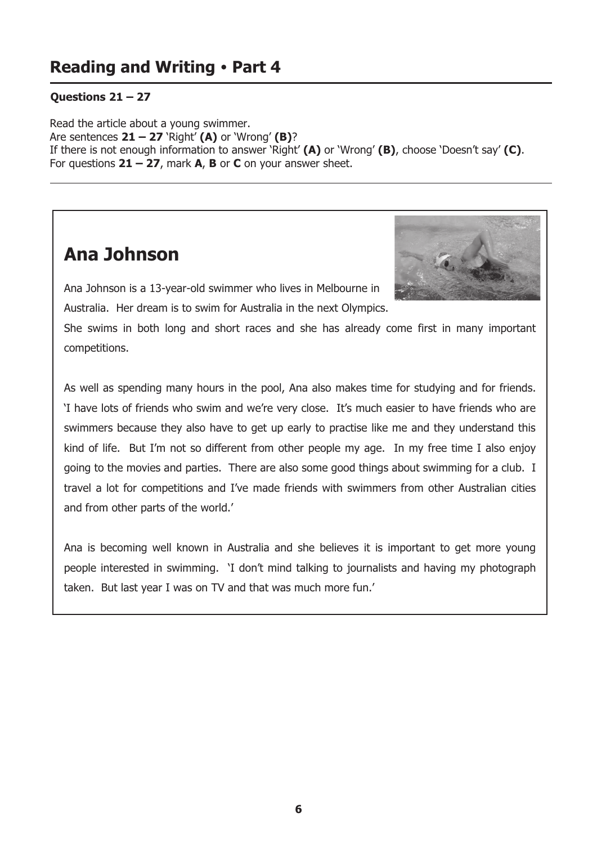## **Questions 21 - 27**

Read the article about a young swimmer. Are sentences  $21 - 27$  'Right' (A) or 'Wrong' (B)? If there is not enough information to answer 'Right'  $(A)$  or 'Wrong'  $(B)$ , choose 'Doesn't say'  $(C)$ . For questions  $21 - 27$ , mark A, B or C on your answer sheet.

# **Ana Johnson**



Ana Johnson is a 13-year-old swimmer who lives in Melbourne in Australia. Her dream is to swim for Australia in the next Olympics.

She swims in both long and short races and she has already come first in many important competitions.

As well as spending many hours in the pool, Ana also makes time for studying and for friends. 'I have lots of friends who swim and we're very close. It's much easier to have friends who are swimmers because they also have to get up early to practise like me and they understand this kind of life. But I'm not so different from other people my age. In my free time I also enjoy going to the movies and parties. There are also some good things about swimming for a club. I travel a lot for competitions and I've made friends with swimmers from other Australian cities and from other parts of the world.'

Ana is becoming well known in Australia and she believes it is important to get more young people interested in swimming. 'I don't mind talking to journalists and having my photograph taken. But last year I was on TV and that was much more fun.'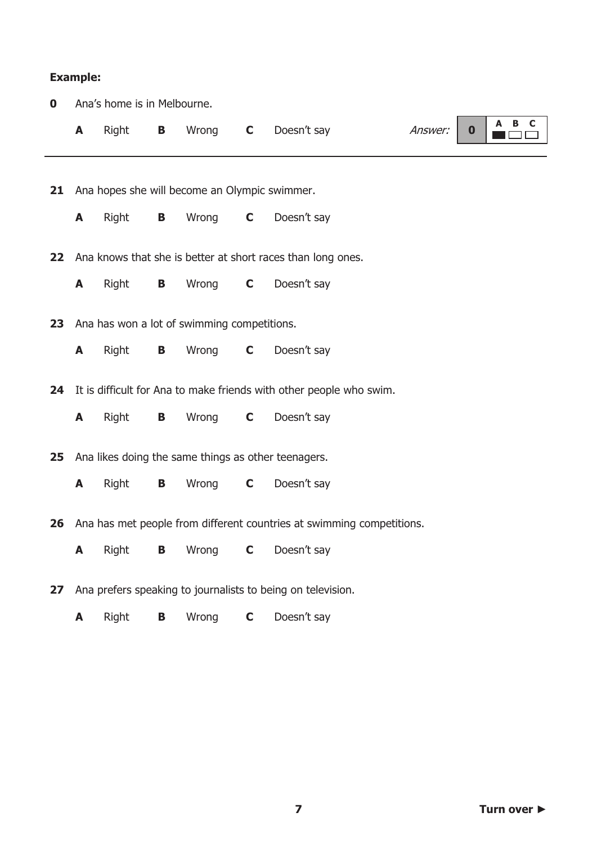|             | <b>Example:</b> |                             |   |                                               |              |                                                                       |         |          |          |
|-------------|-----------------|-----------------------------|---|-----------------------------------------------|--------------|-----------------------------------------------------------------------|---------|----------|----------|
| $\mathbf 0$ |                 | Ana's home is in Melbourne. |   |                                               |              |                                                                       |         |          |          |
|             | A               | Right                       | B | Wrong                                         | $\mathbf C$  | Doesn't say                                                           | Answer: | $\bf{0}$ | B C<br>A |
|             |                 |                             |   |                                               |              |                                                                       |         |          |          |
| 21          |                 |                             |   | Ana hopes she will become an Olympic swimmer. |              |                                                                       |         |          |          |
|             | A               | Right                       | B | Wrong                                         | $\mathbf C$  | Doesn't say                                                           |         |          |          |
| 22          |                 |                             |   |                                               |              | Ana knows that she is better at short races than long ones.           |         |          |          |
|             | A               | Right                       | B | Wrong                                         | $\mathbf{C}$ | Doesn't say                                                           |         |          |          |
| 23          |                 |                             |   | Ana has won a lot of swimming competitions.   |              |                                                                       |         |          |          |
|             | A               | Right                       | B | Wrong                                         | $\mathsf{C}$ | Doesn't say                                                           |         |          |          |
|             |                 |                             |   |                                               |              |                                                                       |         |          |          |
| 24          |                 |                             |   |                                               |              | It is difficult for Ana to make friends with other people who swim.   |         |          |          |
|             | A               | Right                       | B | Wrong                                         | $\mathsf{C}$ | Doesn't say                                                           |         |          |          |
| 25          |                 |                             |   |                                               |              | Ana likes doing the same things as other teenagers.                   |         |          |          |
|             | A               | Right                       | В | Wrong                                         | $\mathbf C$  | Doesn't say                                                           |         |          |          |
| 26          |                 |                             |   |                                               |              | Ana has met people from different countries at swimming competitions. |         |          |          |
|             | A               | Right                       | В | Wrong                                         | $\mathbf C$  | Doesn't say                                                           |         |          |          |
| 27          |                 |                             |   |                                               |              | Ana prefers speaking to journalists to being on television.           |         |          |          |
|             | A               | Right                       | B | Wrong                                         | $\mathbf C$  | Doesn't say                                                           |         |          |          |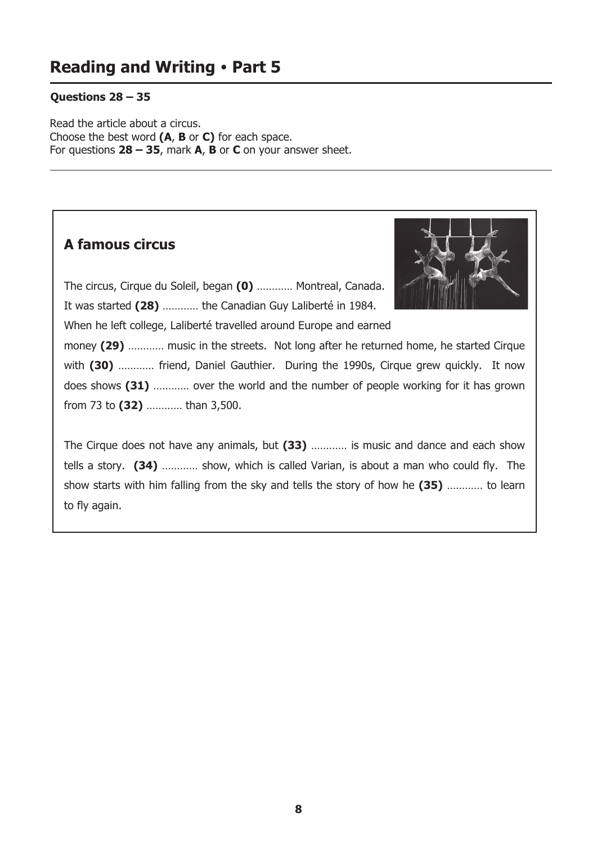## Questions  $28 - 35$

Read the article about a circus. Choose the best word (A, B or C) for each space. For questions  $28 - 35$ , mark A, B or C on your answer sheet.

## A famous circus



The circus, Cirque du Soleil, began (0) ............ Montreal, Canada. It was started (28) ........... the Canadian Guy Laliberté in 1984.

When he left college, Laliberté travelled around Europe and earned

money (29) ............ music in the streets. Not long after he returned home, he started Cirque with (30) ............ friend, Daniel Gauthier. During the 1990s, Cirque grew quickly. It now does shows (31) ............ over the world and the number of people working for it has grown from 73 to (32) ............ than 3,500.

The Cirque does not have any animals, but (33) ............ is music and dance and each show tells a story. (34) ............ show, which is called Varian, is about a man who could fly. The show starts with him falling from the sky and tells the story of how he (35) ............ to learn to fly again.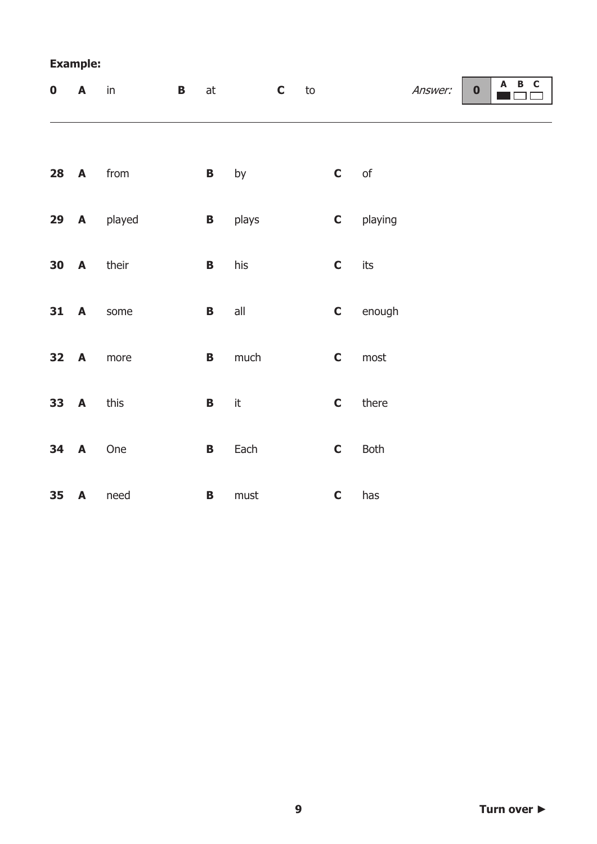| $\boldsymbol{0}$ | A                | $\overline{B}$<br>in | $\operatorname{\sf at}$ |               | $\mathbf{C}$ to |              |               | Answer: | $\boldsymbol{0}$ | A B C |
|------------------|------------------|----------------------|-------------------------|---------------|-----------------|--------------|---------------|---------|------------------|-------|
|                  |                  |                      |                         |               |                 |              |               |         |                  |       |
| 28               | A                | from                 | $\mathbf{B}$            | by            |                 | $\mathbf{C}$ | $\mathsf{of}$ |         |                  |       |
| 29               | $\mathbf{A}$     | played               | $\mathbf{B}$            | plays         |                 | $\mathbf C$  | playing       |         |                  |       |
| 30               | $\blacktriangle$ | their                | $\, {\bf B} \,$         | his           |                 | $\mathbf C$  | its           |         |                  |       |
| 31               | A                | some                 | $\mathbf B$             | all           |                 | $\mathbf C$  | enough        |         |                  |       |
| 32               | $\blacktriangle$ | more                 | $\mathbf B$             | much          |                 | $\mathbf C$  | most          |         |                  |       |
| 33               | $\blacktriangle$ | this                 | $\mathbf B$             | $\mathsf{it}$ |                 | $\mathbf C$  | there         |         |                  |       |
| 34               | A                | One                  | $\mathbf B$             | Each          |                 | $\mathbf C$  | <b>Both</b>   |         |                  |       |
| 35               | A                | need                 | $\mathbf{B}$            | ${\sf must}$  |                 | $\mathbf C$  | has           |         |                  |       |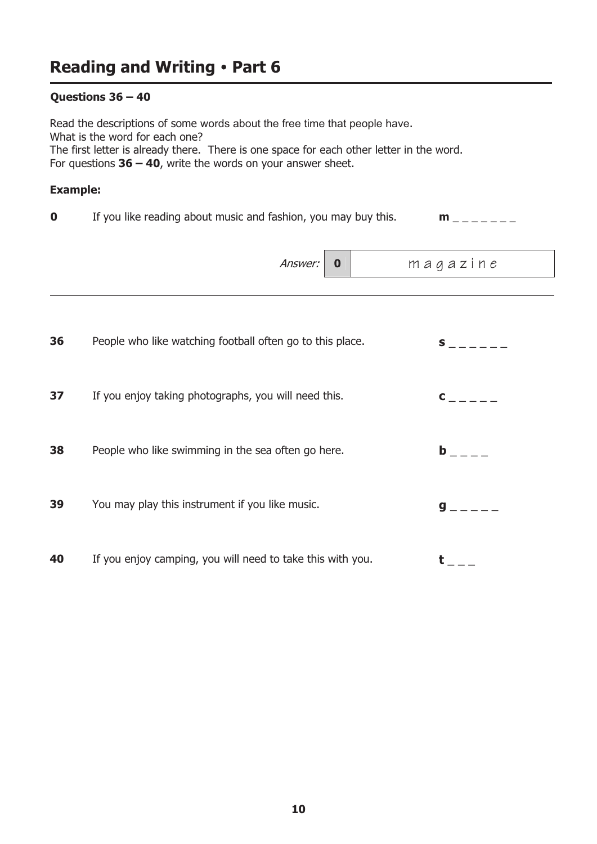## Questions  $36 - 40$

Read the descriptions of some words about the free time that people have. What is the word for each one? The first letter is already there. There is one space for each other letter in the word. For questions  $36 - 40$ , write the words on your answer sheet.

| If you like reading about music and fashion, you may buy this. | $m$ <sub>------</sub> |
|----------------------------------------------------------------|-----------------------|
|                                                                |                       |

|    | Answer:<br>$\bf{0}$                                        | magazine                                                                                                                                                                                                                       |  |
|----|------------------------------------------------------------|--------------------------------------------------------------------------------------------------------------------------------------------------------------------------------------------------------------------------------|--|
|    |                                                            |                                                                                                                                                                                                                                |  |
| 36 | People who like watching football often go to this place.  | S and the set of the set of the set of the set of the set of the set of the set of the set of the set of the set of the set of the set of the set of the set of the set of the set of the set of the set of the set of the set |  |
| 37 | If you enjoy taking photographs, you will need this.       | $\mathbf{C}$                                                                                                                                                                                                                   |  |
| 38 | People who like swimming in the sea often go here.         | $\mathbf b$                                                                                                                                                                                                                    |  |
| 39 | You may play this instrument if you like music.            | g                                                                                                                                                                                                                              |  |
| 40 | If you enjoy camping, you will need to take this with you. |                                                                                                                                                                                                                                |  |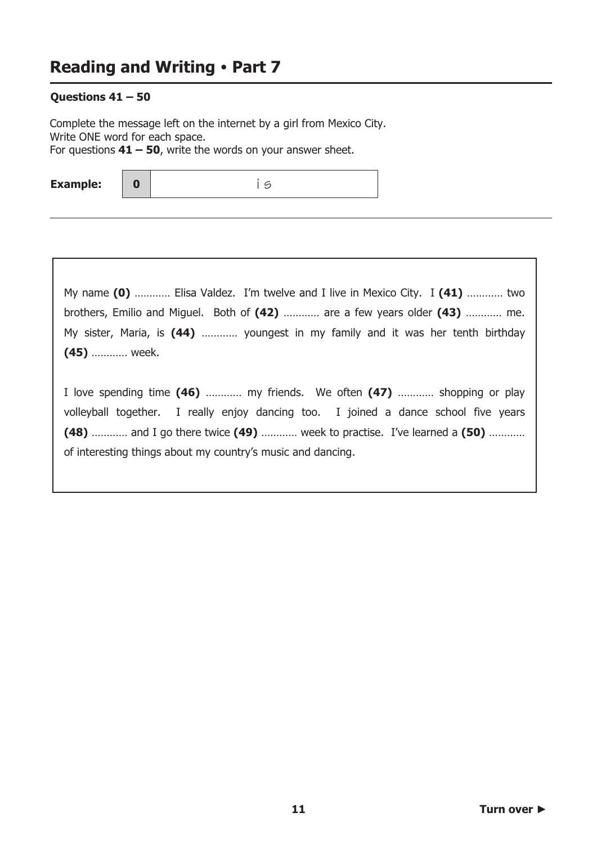$\mathbf{0}$ 

### Questions  $41 - 50$

Complete the message left on the internet by a girl from Mexico City. Write ONE word for each space. For questions  $41 - 50$ , write the words on your answer sheet.

**Example:** 

 $15$ 

My name (0) ........... Elisa Valdez. I'm twelve and I live in Mexico City. I (41) ............ two brothers, Emilio and Miguel. Both of (42) ............ are a few years older (43) ............ me. My sister, Maria, is (44) ............ youngest in my family and it was her tenth birthday (45) ............ week.

I love spending time (46) ............ my friends. We often (47) ............ shopping or play volleyball together. I really enjoy dancing too. I joined a dance school five years (48) ............ and I go there twice (49) ............ week to practise. I've learned a (50) ............ of interesting things about my country's music and dancing.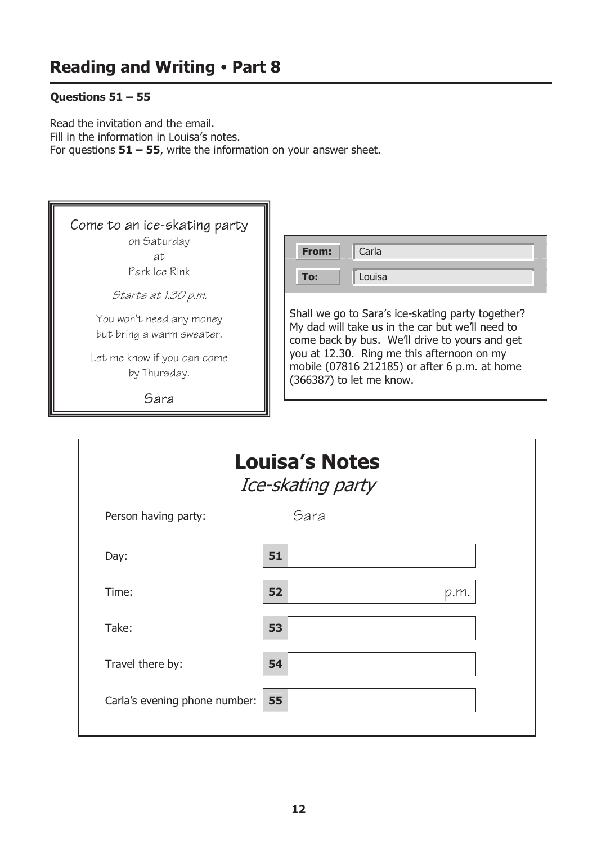## Questions  $51 - 55$

I

Read the invitation and the email. Fill in the information in Louisa's notes. For questions  $51 - 55$ , write the information on your answer sheet.

| Come to an ice-skating party | From:                                             |
|------------------------------|---------------------------------------------------|
| on Saturday                  | Carla                                             |
| аt                           | To:                                               |
| Park Ice Rink                | Louisa                                            |
| Starts at 1.30 p.m.          | Shall we go to Sara's ice-skating party together? |
| You won't need any money     | My dad will take us in the car but we'll need to  |
| but bring a warm sweater.    | come back by bus. We'll drive to yours and get    |
| Let me know if you can come  | you at 12.30. Ring me this afternoon on my        |
| by Thursday.                 | mobile (07816 212185) or after 6 p.m. at home     |
| Sara                         | (366387) to let me know.                          |

|                               | <b>Louisa's Notes</b><br>Ice-skating party |      |
|-------------------------------|--------------------------------------------|------|
| Person having party:          | Sara                                       |      |
| Day:                          | 51                                         |      |
| Time:                         | 52                                         | p.m. |
| Take:                         | 53                                         |      |
| Travel there by:              | 54                                         |      |
| Carla's evening phone number: | 55                                         |      |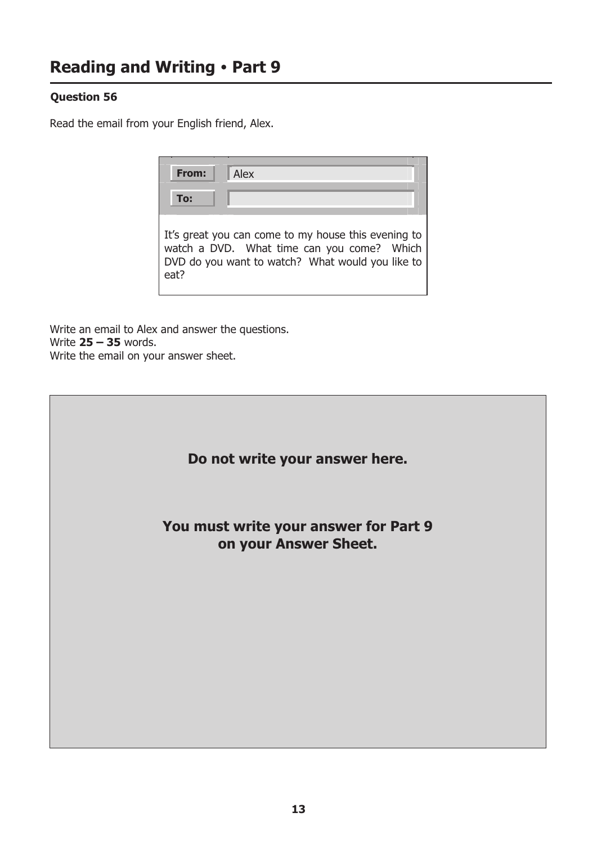## **Question 56**

Read the email from your English friend, Alex.

| From: | Alex                                                                                                                                                  |
|-------|-------------------------------------------------------------------------------------------------------------------------------------------------------|
| To:   |                                                                                                                                                       |
| eat?  | It's great you can come to my house this evening to<br>watch a DVD. What time can you come? Which<br>DVD do you want to watch? What would you like to |

Write an email to Alex and answer the questions. Write  $25 - 35$  words. Write the email on your answer sheet.

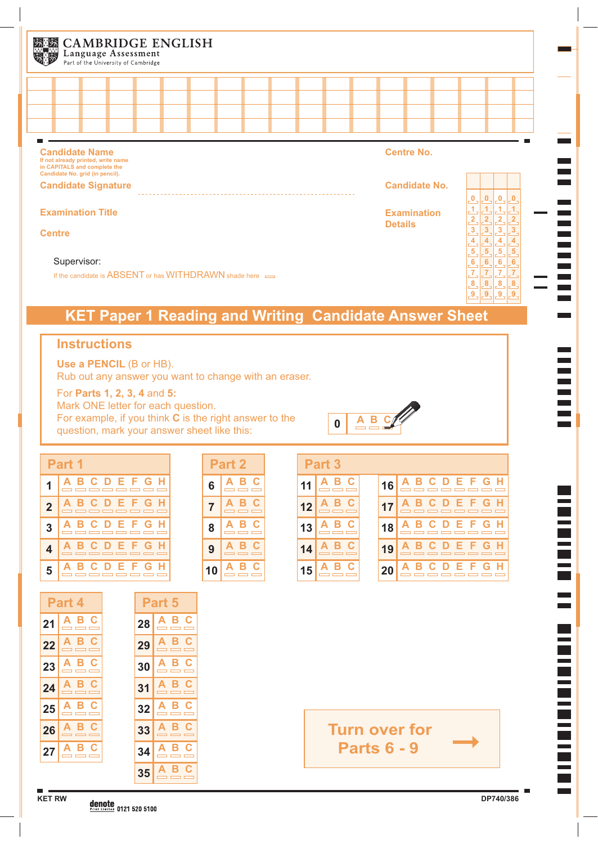| 发展 | <b>CAMBRIDGE ENGLISH</b><br>Language Assessment<br>Part of the University of Cambridge                                         |  |  |  |  |  |                |                      |                                                                        |              |   |
|----|--------------------------------------------------------------------------------------------------------------------------------|--|--|--|--|--|----------------|----------------------|------------------------------------------------------------------------|--------------|---|
|    |                                                                                                                                |  |  |  |  |  |                |                      |                                                                        |              |   |
|    |                                                                                                                                |  |  |  |  |  |                |                      |                                                                        |              |   |
|    |                                                                                                                                |  |  |  |  |  |                |                      |                                                                        |              |   |
|    |                                                                                                                                |  |  |  |  |  |                |                      |                                                                        |              |   |
|    | <b>Candidate Name</b><br>If not already printed, write name<br>in CAPITALS and complete the<br>Candidate No. grid (in pencil). |  |  |  |  |  |                | <b>Centre No.</b>    |                                                                        |              |   |
|    | <b>Candidate Signature</b>                                                                                                     |  |  |  |  |  |                | <b>Candidate No.</b> |                                                                        |              |   |
|    | <b>Examination Title</b>                                                                                                       |  |  |  |  |  | <b>Details</b> | <b>Examination</b>   | $\overline{\mathbf{0}}$<br>$\boldsymbol{0}$<br>$\overline{\mathbf{3}}$ | $\mathbf{0}$ | 3 |

### **Centre**

#### Supervisor:

If the candidate is ABSENT or has WITHDRAWN shade here  $\implies$ 

# **KET Paper 1 Reading and Writing Candidate Answer Sheet**

## **Instructions**

**Use a PENCIL** (B or HB). Rub out any answer you want to change with an eraser.

For **Parts 1, 2, 3, 4** and **5:** 

Mark ONE letter for each question. For example, if you think **C** is the right answer to the question, mark your answer sheet like this:



**8 8 8 9**

**9 9**

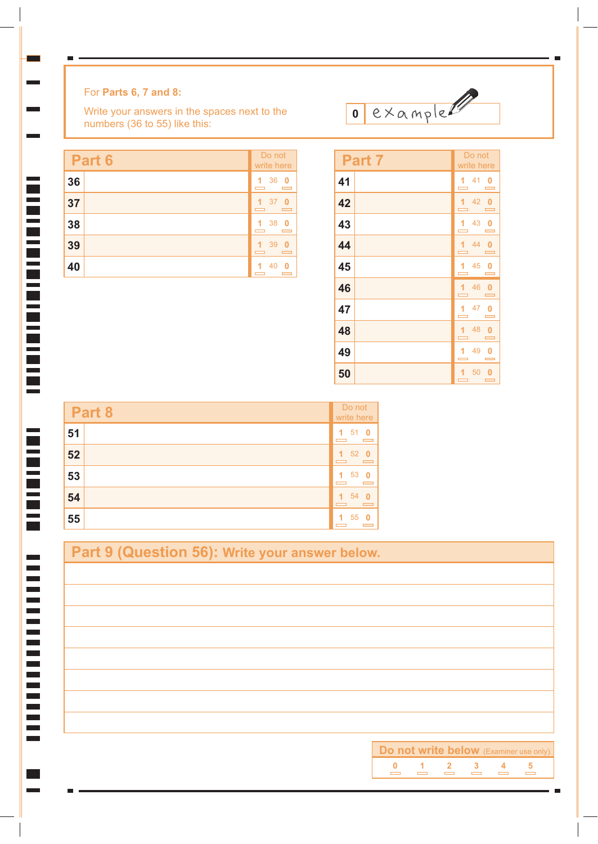## For **Parts 6, 7 and 8:**

 $\mathcal{L}(\mathcal{A})$ 

Write your answers in the spaces next to the numbers (36 to 55) like this:

| Part 6 | Do not<br>write here                               |
|--------|----------------------------------------------------|
| 36     | 36<br>$\overline{\mathbf{0}}$<br>1<br>$\mathbf{r}$ |
| 37     | 37<br>1<br>- 0<br>$\overline{\phantom{0}}$         |
| 38     | 38<br>1<br>- 0<br><b>Contract</b>                  |
| 39     | 39<br>- 0<br>1<br>$\overline{\phantom{0}}$         |
| 40     | 40<br>1<br>$\mathbf{0}$                            |

| Part <sub>7</sub> | Do not<br>write here                                    |
|-------------------|---------------------------------------------------------|
| 41                | 1410<br><b>Contract</b>                                 |
| 42                | 1420<br>$\overline{\phantom{0}}$                        |
| 43                | 1430                                                    |
| 44                | 1440<br>$\overline{\phantom{0}}$                        |
| 45                | 1450<br>$\mathbf{r}$                                    |
| 46                | 1460<br>$\overline{\phantom{0}}$                        |
| 47                | 1470<br>$\equiv$                                        |
| 48                | 1480<br>$\overline{\phantom{0}}$                        |
| 49                | 49 0<br>1<br>$\blacksquare$                             |
| 50                | 50<br>1.<br>- 0<br>$\equiv$<br>$\overline{\phantom{a}}$ |

example

|    | Do not<br>Part 8<br>write here |                           |
|----|--------------------------------|---------------------------|
| 51 |                                | 51<br>- 0<br>1            |
| 52 |                                | 52<br>1<br>- 0            |
| 53 |                                | -53<br>1<br>- 0           |
| 54 |                                | 54<br>1                   |
| 55 |                                | 55<br>$\overline{1}$<br>o |

| Part 9 (Question 56): Write your answer below. |                                                          |  |  |  |  |
|------------------------------------------------|----------------------------------------------------------|--|--|--|--|
|                                                |                                                          |  |  |  |  |
|                                                |                                                          |  |  |  |  |
|                                                |                                                          |  |  |  |  |
|                                                |                                                          |  |  |  |  |
|                                                |                                                          |  |  |  |  |
|                                                |                                                          |  |  |  |  |
|                                                |                                                          |  |  |  |  |
|                                                |                                                          |  |  |  |  |
|                                                | Do not write below (Examiner use only).                  |  |  |  |  |
|                                                | $\begin{array}{ccccccccc}\n1 & 2 & 3 & 4 \\ \end{array}$ |  |  |  |  |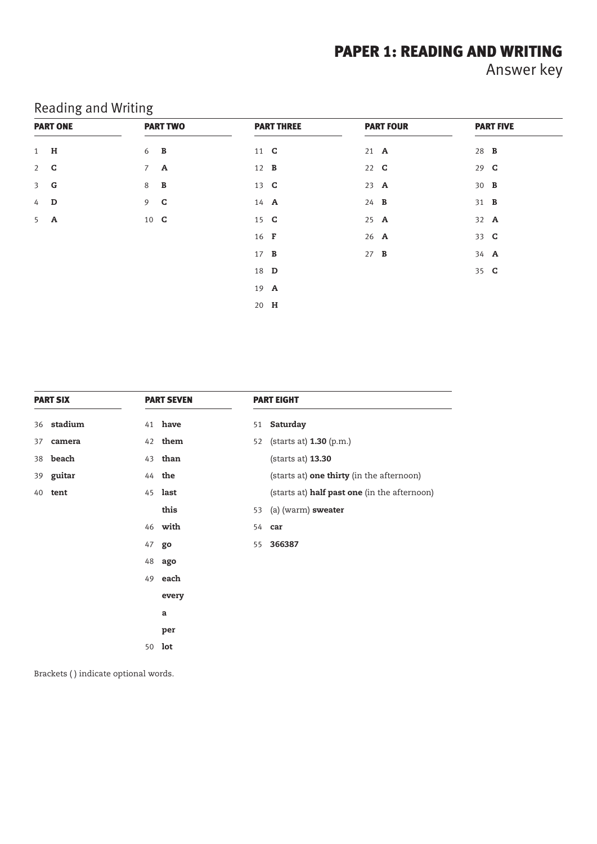## PAPER 1: READING AND WRITING

Answer key

| <b>PART ONE</b> | <b>PART TWO</b>   | <b>PART THREE</b> | <b>PART FOUR</b> | <b>PART FIVE</b> |
|-----------------|-------------------|-------------------|------------------|------------------|
| 1 <b>H</b>      | 6 <b>B</b>        | 11 <b>C</b>       | $21$ <b>A</b>    | 28 <b>B</b>      |
| $2$ <b>C</b>    | $7 \quad A$       | 12 <b>B</b>       | 22 <b>C</b>      | 29 <b>C</b>      |
| 3 <sub>G</sub>  | 8<br>$\mathbf{B}$ | 13 <b>C</b>       | 23 A             | 30 <b>B</b>      |
| 4 <b>D</b>      | $9$ <b>C</b>      | 14 A              | $24$ <b>B</b>    | 31 <b>B</b>      |
| $5$ A           | 10 <b>C</b>       | 15 <b>C</b>       | $25$ <b>A</b>    | 32 A             |
|                 |                   | 16 <b>F</b>       | 26 A             | 33 C             |
|                 |                   | 17 <b>B</b>       | $27$ <b>B</b>    | 34 A             |
|                 |                   | 18 <b>D</b>       |                  | 35 <b>C</b>      |
|                 |                   | 19 A              |                  |                  |
|                 |                   | 20 H              |                  |                  |

## Reading and Writing

| <b>PART SIX</b> |                |    | <b>PART SEVEN</b> |    | <b>PART EIGHT</b>                            |  |  |
|-----------------|----------------|----|-------------------|----|----------------------------------------------|--|--|
|                 | 36 stadium     |    | 41 have           |    | 51 Saturday                                  |  |  |
| 37              | camera         |    | 42 them           |    | 52 (starts at) <b>1.30</b> (p.m.)            |  |  |
|                 | 38 beach       |    | 43 <b>than</b>    |    | (starts at) 13.30                            |  |  |
|                 | 39 guitar      |    | 44 the            |    | (starts at) one thirty (in the afternoon)    |  |  |
|                 | 40 <b>tent</b> |    | 45 last           |    | (starts at) half past one (in the afternoon) |  |  |
|                 |                |    | this              |    | 53 (a) (warm) sweater                        |  |  |
|                 |                |    | 46 with           |    | 54 car                                       |  |  |
|                 |                | 47 | go                | 55 | 366387                                       |  |  |
|                 |                | 48 | ago               |    |                                              |  |  |
|                 |                | 49 | each              |    |                                              |  |  |
|                 |                |    | every             |    |                                              |  |  |
|                 |                |    | a                 |    |                                              |  |  |
|                 |                |    | per               |    |                                              |  |  |
|                 |                | 50 | lot               |    |                                              |  |  |

Brackets ( ) indicate optional words.